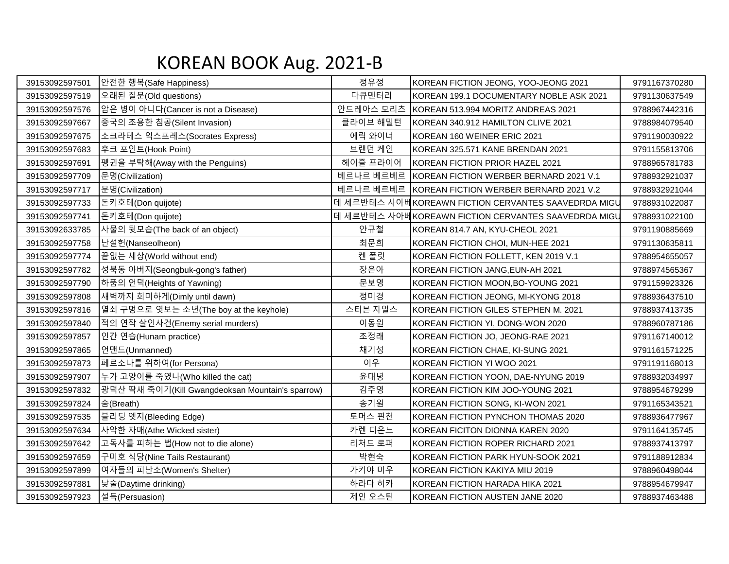## KOREAN BOOK Aug. 2021-B

| 39153092597501 | 안전한 행복(Safe Happiness)                           | 정유정       | KOREAN FICTION JEONG, YOO-JEONG 2021                | 9791167370280 |
|----------------|--------------------------------------------------|-----------|-----------------------------------------------------|---------------|
| 39153092597519 | 오래된 질문(Old questions)                            | 다큐멘터리     | KOREAN 199.1 DOCUMENTARY NOBLE ASK 2021             | 9791130637549 |
| 39153092597576 | 암은 병이 아니다(Cancer is not a Disease)               | 안드레아스 모리츠 | KOREAN 513.994 MORITZ ANDREAS 2021                  | 9788967442316 |
| 39153092597667 | 중국의 조용한 침공(Silent Invasion)                      | 클라이브 해밀턴  | KOREAN 340.912 HAMILTON CLIVE 2021                  | 9788984079540 |
| 39153092597675 | 소크라테스 익스프레스(Socrates Express)                    | 에릭 와이너    | KOREAN 160 WEINER ERIC 2021                         | 9791190030922 |
| 39153092597683 | 후크 포인트(Hook Point)                               | 브랜던 케인    | KOREAN 325.571 KANE BRENDAN 2021                    | 9791155813706 |
| 39153092597691 | 펭귄을 부탁해(Away with the Penguins)                  | 헤이즐 프라이어  | KOREAN FICTION PRIOR HAZEL 2021                     | 9788965781783 |
| 39153092597709 | 문명(Civilization)                                 |           | 베르나르 베르베르 KOREAN FICTION WERBER BERNARD 2021 V.1    | 9788932921037 |
| 39153092597717 | 문명(Civilization)                                 |           | 베르나르 베르베르 KOREAN FICTION WERBER BERNARD 2021 V.2    | 9788932921044 |
| 39153092597733 | 돈키호테(Don quijote)                                |           | 데 세르반테스 사아베KOREAWN FICTION CERVANTES SAAVEDRDA MIGU | 9788931022087 |
| 39153092597741 | 돈키호테(Don quijote)                                |           | 데 세르반테스 사아베KOREAWN FICTION CERVANTES SAAVEDRDA MIGU | 9788931022100 |
| 39153092633785 | 사물의 뒷모습(The back of an object)                   | 안규철       | KOREAN 814.7 AN, KYU-CHEOL 2021                     | 9791190885669 |
| 39153092597758 | 난설헌(Nanseolheon)                                 | 최문희       | KOREAN FICTION CHOI, MUN-HEE 2021                   | 9791130635811 |
| 39153092597774 | 끝없는 세상(World without end)                        | 켄 폴릿      | KOREAN FICTION FOLLETT, KEN 2019 V.1                | 9788954655057 |
| 39153092597782 | 성북동 아버지(Seongbuk-gong's father)                  | 장은아       | KOREAN FICTION JANG, EUN-AH 2021                    | 9788974565367 |
| 39153092597790 | 하품의 언덕(Heights of Yawning)                       | 문보영       | KOREAN FICTION MOON, BO-YOUNG 2021                  | 9791159923326 |
| 39153092597808 | 새벽까지 희미하게(Dimly until dawn)                      | 정미경       | KOREAN FICTION JEONG, MI-KYONG 2018                 | 9788936437510 |
| 39153092597816 | 열쇠 구멍으로 엿보는 소년(The boy at the keyhole)           | 스티븐 자일스   | KOREAN FICTION GILES STEPHEN M. 2021                | 9788937413735 |
| 39153092597840 | 적의 연작 살인사건(Enemy serial murders)                 | 이동원       | KOREAN FICTION YI, DONG-WON 2020                    | 9788960787186 |
| 39153092597857 | 인간 연습(Hunam practice)                            | 조정래       | KOREAN FICTION JO, JEONG-RAE 2021                   | 9791167140012 |
| 39153092597865 | 언맨드(Unmanned)                                    | 채기성       | KOREAN FICTION CHAE, KI-SUNG 2021                   | 9791161571225 |
| 39153092597873 | 페르소나를 위하여(for Persona)                           | 이우        | KOREAN FICTION YI WOO 2021                          | 9791191168013 |
| 39153092597907 | 누가 고양이를 죽였나(Who killed the cat)                  | 윤대녕       | KOREAN FICTION YOON, DAE-NYUNG 2019                 | 9788932034997 |
| 39153092597832 | 광덕산 딱새 죽이기(Kill Gwangdeoksan Mountain's sparrow) | 김주영       | KOREAN FICTION KIM JOO-YOUNG 2021                   | 9788954679299 |
| 39153092597824 | 舍(Breath)                                        | 송기원       | KOREAN FICTION SONG, KI-WON 2021                    | 9791165343521 |
| 39153092597535 | 블리딩 엣지(Bleeding Edge)                            | 토머스 핀천    | KOREAN FICTION PYNCHON THOMAS 2020                  | 9788936477967 |
| 39153092597634 | 사악한 자매(Athe Wicked sister)                       | 카렌 디온느    | KOREAN FICITON DIONNA KAREN 2020                    | 9791164135745 |
| 39153092597642 | 고독사를 피하는 법(How not to die alone)                 | 리처드 로퍼    | KOREAN FICTION ROPER RICHARD 2021                   | 9788937413797 |
| 39153092597659 | 구미호 식당(Nine Tails Restaurant)                    | 박현숙       | KOREAN FICTION PARK HYUN-SOOK 2021                  | 9791188912834 |
| 39153092597899 | 여자들의 피난소(Women's Shelter)                        | 가키야 미우    | KOREAN FICTION KAKIYA MIU 2019                      | 9788960498044 |
| 39153092597881 | 낮술(Daytime drinking)                             | 하라다 히카    | KOREAN FICTION HARADA HIKA 2021                     | 9788954679947 |
| 39153092597923 | 설득(Persuasion)                                   | 제인 오스틴    | KOREAN FICTION AUSTEN JANE 2020                     | 9788937463488 |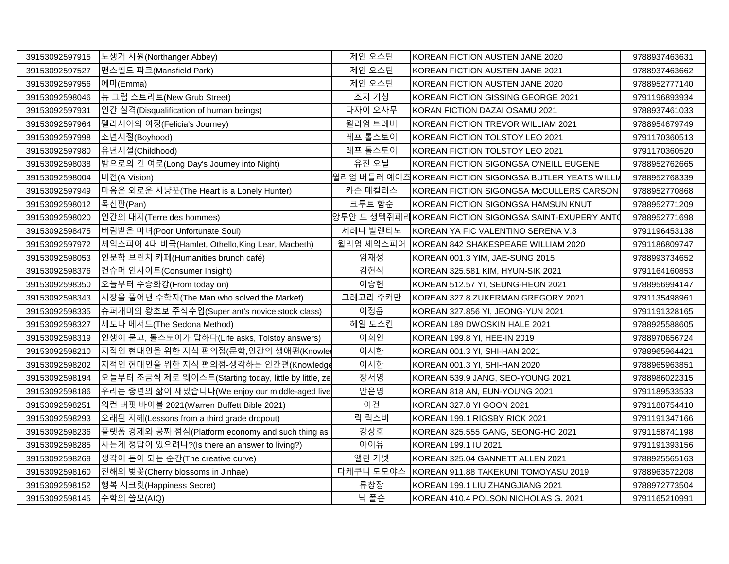| 39153092597915 | 노생거 사원(Northanger Abbey)                              | 제인 오스틴    | KOREAN FICTION AUSTEN JANE 2020                        | 9788937463631 |
|----------------|-------------------------------------------------------|-----------|--------------------------------------------------------|---------------|
| 39153092597527 | 맨스필드 파크(Mansfield Park)                               | 제인 오스틴    | KOREAN FICTION AUSTEN JANE 2021                        | 9788937463662 |
| 39153092597956 | 에마(Emma)                                              | 제인 오스틴    | KOREAN FICTION AUSTEN JANE 2020                        | 9788952777140 |
| 39153092598046 | 뉴 그럽 스트리트(New Grub Street)                            | 조지 기싱     | KOREAN FICTION GISSING GEORGE 2021                     | 9791196893934 |
| 39153092597931 | 인간 실격(Disqualification of human beings)               | 다자이 오사무   | KORAN FICTION DAZAI OSAMU 2021                         | 9788937461033 |
| 39153092597964 | 펠리시아의 여정(Felicia's Journey)                           | 윌리엄 트레버   | KOREAN FICTION TREVOR WILLIAM 2021                     | 9788954679749 |
| 39153092597998 | 소년시절(Boyhood)                                         | 레프 톨스토이   | KOREAN FICTION TOLSTOY LEO 2021                        | 9791170360513 |
| 39153092597980 | 유년시절(Childhood)                                       | 레프 톨스토이   | KOREAN FICTION TOLSTOY LEO 2021                        | 9791170360520 |
| 39153092598038 | 밤으로의 긴 여로(Long Day's Journey into Night)              | 유진 오닐     | KOREAN FICTION SIGONGSA O'NEILL EUGENE                 | 9788952762665 |
| 39153092598004 | 비전(A Vision)                                          |           | │윌리엄 버틀러 예이츼KOREAN FICTION SIGONGSA BUTLER YEATS WILLI | 9788952768339 |
| 39153092597949 | 마음은 외로운 사냥꾼(The Heart is a Lonely Hunter)             | 카슨 매컬러스   | KOREAN FICTION SIGONGSA McCULLERS CARSON               | 9788952770868 |
| 39153092598012 | 목신판(Pan)                                              | 크투트 함순    | KOREAN FICTION SIGONGSA HAMSUN KNUT                    | 9788952771209 |
| 39153092598020 | 인간의 대지(Terre des hommes)                              |           | 앙투안 드 생텍쥐페리 KOREAN FICTION SIGONGSA SAINT-EXUPERY ANT( | 9788952771698 |
| 39153092598475 | 버림받은 마녀(Poor Unfortunate Soul)                        | 세레나 발렌티노  | KOREAN YA FIC VALENTINO SERENA V.3                     | 9791196453138 |
| 39153092597972 | 셰익스피어 4대 비극(Hamlet, Othello,King Lear, Macbeth)       | 윌리엄 셰익스피어 | KOREAN 842 SHAKESPEARE WILLIAM 2020                    | 9791186809747 |
| 39153092598053 | 인문학 브런치 카페(Humanities brunch café)                    | 임재성       | KOREAN 001.3 YIM, JAE-SUNG 2015                        | 9788993734652 |
| 39153092598376 | 컨슈머 인사이트(Consumer Insight)                            | 김현식       | KOREAN 325.581 KIM, HYUN-SIK 2021                      | 9791164160853 |
| 39153092598350 | 오늘부터 수승화강(From today on)                              | 이승헌       | KOREAN 512.57 YI, SEUNG-HEON 2021                      | 9788956994147 |
| 39153092598343 | 시장을 풀어낸 수학자(The Man who solved the Market)            | 그레고리 주커만  | KOREAN 327.8 ZUKERMAN GREGORY 2021                     | 9791135498961 |
| 39153092598335 | 슈퍼개미의 왕초보 주식수업(Super ant's novice stock class)        | 이정윤       | KOREAN 327.856 YI, JEONG-YUN 2021                      | 9791191328165 |
| 39153092598327 | 세도나 메서드(The Sedona Method)                            | 헤일 도스킨    | KOREAN 189 DWOSKIN HALE 2021                           | 9788925588605 |
| 39153092598319 | 인생이 묻고, 톨스토이가 답하다(Life asks, Tolstoy answers)         | 이희인       | KOREAN 199.8 YI, HEE-IN 2019                           | 9788970656724 |
| 39153092598210 | 지적인 현대인을 위한 지식 편의점(문학,인간의 생애편(Knowle                  | 이시한       | KOREAN 001.3 YI, SHI-HAN 2021                          | 9788965964421 |
| 39153092598202 | 지적인 현대인을 위한 지식 편의점-생각하는 인간편(Knowledge                 | 이시한       | KOREAN 001.3 YI, SHI-HAN 2020                          | 9788965963851 |
| 39153092598194 | 오늘부터 조금씩 제로 웨이스트(Starting today, little by little, ze | 장서영       | KOREAN 539.9 JANG, SEO-YOUNG 2021                      | 9788986022315 |
| 39153092598186 | 우리는 중년의 삶이 재밌습니다(We enjoy our middle-aged live        | 안은영       | KOREAN 818 AN, EUN-YOUNG 2021                          | 9791189533533 |
| 39153092598251 | 워런 버핏 바이블 2021(Warren Buffett Bible 2021)             | 이건        | KOREAN 327.8 YI GOON 2021                              | 9791188754410 |
| 39153092598293 | 오래된 지혜(Lessons from a third grade dropout)            | 릭 릭스비     | KOREAN 199.1 RIGSBY RICK 2021                          | 9791191347166 |
| 39153092598236 | 플랫폼 경제와 공짜 점심(Platform economy and such thing as      | 강상호       | KOREAN 325.555 GANG, SEONG-HO 2021                     | 9791158741198 |
| 39153092598285 | 사는게 정답이 있으려나?(Is there an answer to living?)          | 아이유       | KOREAN 199.1 IU 2021                                   | 9791191393156 |
| 39153092598269 | ┃생각이 돈이 되는 순간(The creative curve)                     | 앨런 가넷     | KOREAN 325.04 GANNETT ALLEN 2021                       | 9788925565163 |
| 39153092598160 | 진해의 벚꽃(Cherry blossoms in Jinhae)                     | 다케쿠니 도모야스 | KOREAN 911.88 TAKEKUNI TOMOYASU 2019                   | 9788963572208 |
| 39153092598152 | 행복 시크릿(Happiness Secret)                              | 류창장       | KOREAN 199.1 LIU ZHANGJIANG 2021                       | 9788972773504 |
| 39153092598145 | 수학의 쓸모(AIQ)                                           | 닉 폴슨      | KOREAN 410.4 POLSON NICHOLAS G. 2021                   | 9791165210991 |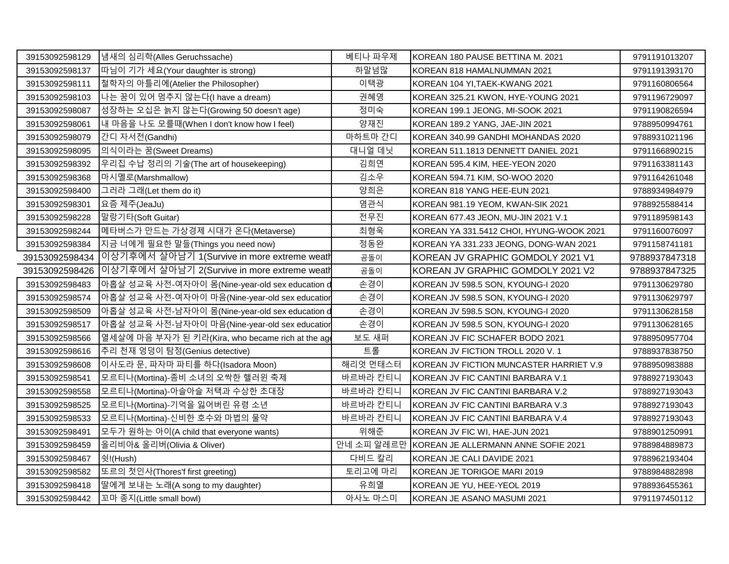| 39153092598129 | 냄새의 심리학(Alles Geruchssache)                       | 베티나 파우제    | IKOREAN 180 PAUSE BETTINA M. 2021        | 9791191013207 |
|----------------|---------------------------------------------------|------------|------------------------------------------|---------------|
| 39153092598137 | 때님이 기가 세요(Your daughter is strong)                | 하말넘많       | KOREAN 818 HAMALNUMMAN 2021              | 9791191393170 |
| 39153092598111 | 철학자의 아틀리에(Atelier the Philosopher)                | 이택광        | KOREAN 104 YI, TAEK-KWANG 2021           | 9791160806564 |
| 39153092598103 | 나는 꿈이 있어 멈추지 않는다(I have a dream)                  | 권혜영        | KOREAN 325.21 KWON, HYE-YOUNG 2021       | 9791196729097 |
| 39153092598087 | 성장하는 오십은 늙지 않는다(Growing 50 doesn't age)           | 정미숙        | KOREAN 199.1 JEONG, MI-SOOK 2021         | 9791190826594 |
| 39153092598061 | 내 마음을 나도 모를때(When I don't know how I feel)        | 양재진        | KOREAN 189.2 YANG, JAE-JIN 2021          | 9788950994761 |
| 39153092598079 | 간디 자서전(Gandhi)                                    | 마하트마 간디    | KOREAN 340.99 GANDHI MOHANDAS 2020       | 9788931021196 |
| 39153092598095 | 의식이라는 꿈(Sweet Dreams)                             | 대니얼 데닛     | KOREAN 511.1813 DENNETT DANIEL 2021      | 9791166890215 |
| 39153092598392 | 우리집 수납 정리의 기술(The art of housekeeping)            | 김희연        | KOREAN 595.4 KIM, HEE-YEON 2020          | 9791163381143 |
| 39153092598368 | 마시멜로(Marshmallow)                                 | 김소우        | KOREAN 594.71 KIM, SO-WOO 2020           | 9791164261048 |
| 39153092598400 | 그러라 그래(Let them do it)                            | 양희은        | KOREAN 818 YANG HEE-EUN 2021             | 9788934984979 |
| 39153092598301 | 요즘 제주(JeaJu)                                      | 염관식        | KOREAN 981.19 YEOM, KWAN-SIK 2021        | 9788925588414 |
| 39153092598228 | 말랑기타(Soft Guitar)                                 | 전무진        | KOREAN 677.43 JEON, MU-JIN 2021 V.1      | 9791189598143 |
| 39153092598244 | ┃메타버스가 만드는 가상경제 시대가 온다(Metaverse)                 | 최형욱        | KOREAN YA 331.5412 CHOI, HYUNG-WOOK 2021 | 9791160076097 |
| 39153092598384 | 지금 너에게 필요한 말들(Things you need now)                | 정동완        | KOREAN YA 331.233 JEONG, DONG-WAN 2021   | 9791158741181 |
| 39153092598434 | 이상기후에서 살아남기 1(Survive in more extreme weath       | 곰돌이        | KOREAN JV GRAPHIC GOMDOLY 2021 V1        | 9788937847318 |
| 39153092598426 | 이상기후에서 살아남기 2(Survive in more extreme weath       | 곰돌이        | KOREAN JV GRAPHIC GOMDOLY 2021 V2        | 9788937847325 |
| 39153092598483 | 아홉살 성교육 사전-여자아이 몸(Nine-year-old sex education c   | 손경이        | KOREAN JV 598.5 SON, KYOUNG-I 2020       | 9791130629780 |
| 39153092598574 | 아홉살 성교육 사전-여자아이 마음(Nine-year-old sex educatior    | 손경이        | KOREAN JV 598.5 SON, KYOUNG-I 2020       | 9791130629797 |
| 39153092598509 | ┃아홉살 성교육 사전-남자아이 몸(Nine-year-old sex education d  | 손경이        | KOREAN JV 598.5 SON, KYOUNG-I 2020       | 9791130628158 |
| 39153092598517 | 아홉살 성교육 사전-남자아이 마음(Nine-year-old sex educatior    | 손경이        | KOREAN JV 598.5 SON, KYOUNG-I 2020       | 9791130628165 |
| 39153092598566 | 열세살에 마음 부자가 된 키라(Kira, who became rich at the age | 보도 새퍼      | KOREAN JV FIC SCHAFER BODO 2021          | 9788950957704 |
| 39153092598616 | 추리 천재 엉덩이 탐정(Genius detective)                    | 트롤         | KOREAN JV FICTION TROLL 2020 V. 1        | 9788937838750 |
| 39153092598608 | 이사도라 문, 파자마 파티를 하다(Isadora Moon)                  | 해리엇 먼태스터   | KOREAN JV FICTION MUNCASTER HARRIET V.9  | 9788950983888 |
| 39153092598541 | 모르티나(Mortina)-좀비 소녀의 오싹한 핼러윈 축제                   | 바르바라 칸티니   | KOREAN JV FIC CANTINI BARBARA V.1        | 9788927193043 |
| 39153092598558 | 모르티나(Mortina)-아슬아슬 저택과 수상한 초대장                    | 바르바라 칸티니   | KOREAN JV FIC CANTINI BARBARA V.2        | 9788927193043 |
| 39153092598525 | 모르티나(Mortina)-기억을 잃어버린 유령 소년                      | 바르바라 칸티니   | KOREAN JV FIC CANTINI BARBARA V.3        | 9788927193043 |
| 39153092598533 | 모르티나(Mortina)-신비한 호수와 마법의 물약                      | 바르바라 칸티니   | KOREAN JV FIC CANTINI BARBARA V.4        | 9788927193043 |
| 39153092598491 | 모두가 원하는 아이(A child that everyone wants)           | 위해준        | KOREAN JV FIC WI, HAE-JUN 2021           | 9788901250991 |
| 39153092598459 | 올리비아& 올리버(Olivia & Oliver)                        | 안네 소피 알레르만 | KOREAN JE ALLERMANN ANNE SOFIE 2021      | 9788984889873 |
| 39153092598467 | 쉿!(Hush)                                          | 다비드 칼리     | KOREAN JE CALI DAVIDE 2021               | 9788962193404 |
| 39153092598582 | 또르의 첫인사(Thores'f first greeting)                  | 토리고에 마리    | KOREAN JE TORIGOE MARI 2019              | 9788984882898 |
| 39153092598418 | 딸에게 보내는 노래(A song to my daughter)                 | 유희열        | KOREAN JE YU, HEE-YEOL 2019              | 9788936455361 |
| 39153092598442 | 꼬마 종지(Little small bowl)                          | 아사노 마스미    | KOREAN JE ASANO MASUMI 2021              | 9791197450112 |